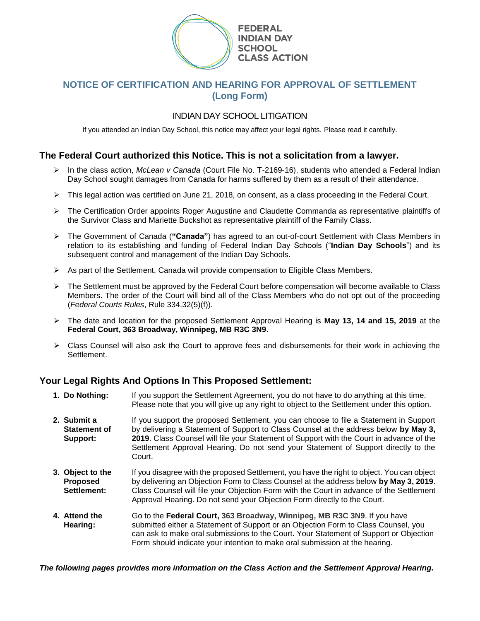

# **NOTICE OF CERTIFICATION AND HEARING FOR APPROVAL OF SETTLEMENT (Long Form)**

## INDIAN DAY SCHOOL LITIGATION

If you attended an Indian Day School, this notice may affect your legal rights. Please read it carefully.

## **The Federal Court authorized this Notice. This is not a solicitation from a lawyer.**

- ➢ In the class action, *McLean v Canada* (Court File No. T-2169-16), students who attended a Federal Indian Day School sought damages from Canada for harms suffered by them as a result of their attendance.
- ➢ This legal action was certified on June 21, 2018, on consent, as a class proceeding in the Federal Court.
- ➢ The Certification Order appoints Roger Augustine and Claudette Commanda as representative plaintiffs of the Survivor Class and Mariette Buckshot as representative plaintiff of the Family Class.
- ➢ The Government of Canada (**"Canada"**) has agreed to an out-of-court Settlement with Class Members in relation to its establishing and funding of Federal Indian Day Schools ("**Indian Day Schools**") and its subsequent control and management of the Indian Day Schools.
- $\triangleright$  As part of the Settlement, Canada will provide compensation to Eligible Class Members.
- ➢ The Settlement must be approved by the Federal Court before compensation will become available to Class Members. The order of the Court will bind all of the Class Members who do not opt out of the proceeding (*Federal Courts Rules*, Rule 334.32(5)(f)).
- ➢ The date and location for the proposed Settlement Approval Hearing is **May 13, 14 and 15, 2019** at the **Federal Court, 363 Broadway, Winnipeg, MB R3C 3N9**.
- ➢ Class Counsel will also ask the Court to approve fees and disbursements for their work in achieving the Settlement.

# **Your Legal Rights And Options In This Proposed Settlement:**

- **1. Do Nothing:** If you support the Settlement Agreement, you do not have to do anything at this time. Please note that you will give up any right to object to the Settlement under this option.
- **2. Submit a Statement of Support:** If you support the proposed Settlement, you can choose to file a Statement in Support by delivering a Statement of Support to Class Counsel at the address below **by May 3, 2019**. Class Counsel will file your Statement of Support with the Court in advance of the Settlement Approval Hearing. Do not send your Statement of Support directly to the Court.
- **3. Object to the Proposed Settlement:** If you disagree with the proposed Settlement, you have the right to object. You can object by delivering an Objection Form to Class Counsel at the address below **by May 3, 2019**. Class Counsel will file your Objection Form with the Court in advance of the Settlement Approval Hearing. Do not send your Objection Form directly to the Court.
- **4. Attend the Hearing:** Go to the **Federal Court, 363 Broadway, Winnipeg, MB R3C 3N9**. If you have submitted either a Statement of Support or an Objection Form to Class Counsel, you can ask to make oral submissions to the Court. Your Statement of Support or Objection Form should indicate your intention to make oral submission at the hearing.

*The following pages provides more information on the Class Action and the Settlement Approval Hearing.*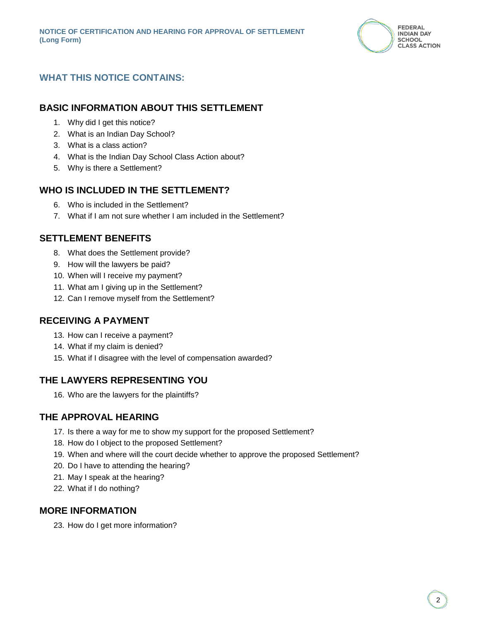

# **WHAT THIS NOTICE CONTAINS:**

# **BASIC INFORMATION ABOUT THIS SETTLEMENT**

- 1. Why did I get this notice?
- 2. What is an Indian Day School?
- 3. What is a class action?
- 4. What is the Indian Day School Class Action about?
- 5. Why is there a Settlement?

# **WHO IS INCLUDED IN THE SETTLEMENT?**

- 6. Who is included in the Settlement?
- 7. What if I am not sure whether I am included in the Settlement?

# **SETTLEMENT BENEFITS**

- 8. What does the Settlement provide?
- 9. How will the lawyers be paid?
- 10. When will I receive my payment?
- 11. What am I giving up in the Settlement?
- 12. Can I remove myself from the Settlement?

# **RECEIVING A PAYMENT**

- 13. How can I receive a payment?
- 14. What if my claim is denied?
- 15. What if I disagree with the level of compensation awarded?

# **THE LAWYERS REPRESENTING YOU**

16. Who are the lawyers for the plaintiffs?

# **THE APPROVAL HEARING**

- 17. Is there a way for me to show my support for the proposed Settlement?
- 18. How do I object to the proposed Settlement?
- 19. When and where will the court decide whether to approve the proposed Settlement?
- 20. Do I have to attending the hearing?
- 21. May I speak at the hearing?
- 22. What if I do nothing?

# **MORE INFORMATION**

23. How do I get more information?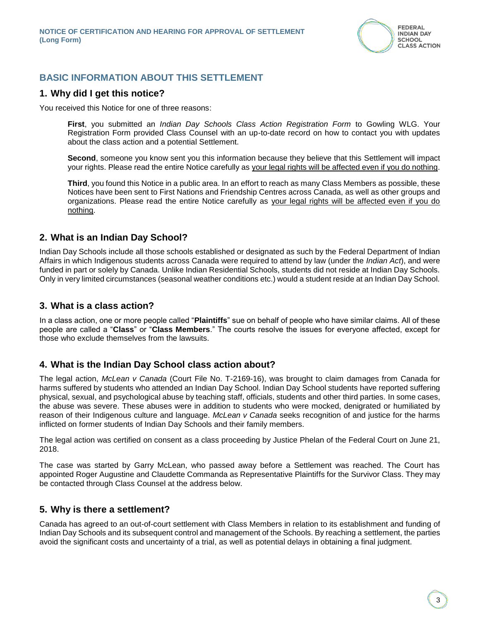

## **BASIC INFORMATION ABOUT THIS SETTLEMENT**

#### **1. Why did I get this notice?**

You received this Notice for one of three reasons:

**First**, you submitted an *Indian Day Schools Class Action Registration Form* to Gowling WLG. Your Registration Form provided Class Counsel with an up-to-date record on how to contact you with updates about the class action and a potential Settlement.

**Second**, someone you know sent you this information because they believe that this Settlement will impact your rights. Please read the entire Notice carefully as your legal rights will be affected even if you do nothing.

**Third**, you found this Notice in a public area. In an effort to reach as many Class Members as possible, these Notices have been sent to First Nations and Friendship Centres across Canada, as well as other groups and organizations. Please read the entire Notice carefully as your legal rights will be affected even if you do nothing.

#### **2. What is an Indian Day School?**

Indian Day Schools include all those schools established or designated as such by the Federal Department of Indian Affairs in which Indigenous students across Canada were required to attend by law (under the *Indian Act*), and were funded in part or solely by Canada. Unlike Indian Residential Schools, students did not reside at Indian Day Schools. Only in very limited circumstances (seasonal weather conditions etc.) would a student reside at an Indian Day School.

#### **3. What is a class action?**

In a class action, one or more people called "**Plaintiffs**" sue on behalf of people who have similar claims. All of these people are called a "**Class**" or "**Class Members**." The courts resolve the issues for everyone affected, except for those who exclude themselves from the lawsuits.

### **4. What is the Indian Day School class action about?**

The legal action, *McLean v Canada* (Court File No. T-2169-16), was brought to claim damages from Canada for harms suffered by students who attended an Indian Day School. Indian Day School students have reported suffering physical, sexual, and psychological abuse by teaching staff, officials, students and other third parties. In some cases, the abuse was severe. These abuses were in addition to students who were mocked, denigrated or humiliated by reason of their Indigenous culture and language. *McLean v Canada* seeks recognition of and justice for the harms inflicted on former students of Indian Day Schools and their family members.

The legal action was certified on consent as a class proceeding by Justice Phelan of the Federal Court on June 21, 2018.

The case was started by Garry McLean, who passed away before a Settlement was reached. The Court has appointed Roger Augustine and Claudette Commanda as Representative Plaintiffs for the Survivor Class. They may be contacted through Class Counsel at the address below.

#### **5. Why is there a settlement?**

Canada has agreed to an out-of-court settlement with Class Members in relation to its establishment and funding of Indian Day Schools and its subsequent control and management of the Schools. By reaching a settlement, the parties avoid the significant costs and uncertainty of a trial, as well as potential delays in obtaining a final judgment.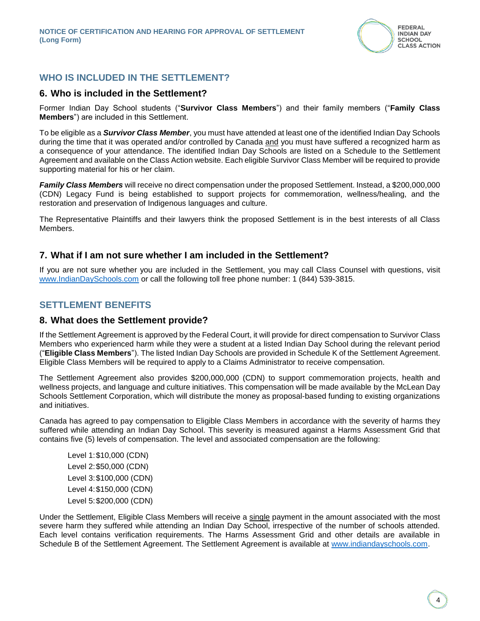

## **WHO IS INCLUDED IN THE SETTLEMENT?**

#### **6. Who is included in the Settlement?**

Former Indian Day School students ("**Survivor Class Members**") and their family members ("**Family Class Members**") are included in this Settlement.

To be eligible as a *Survivor Class Member*, you must have attended at least one of the identified Indian Day Schools during the time that it was operated and/or controlled by Canada and you must have suffered a recognized harm as a consequence of your attendance. The identified Indian Day Schools are listed on a Schedule to the Settlement Agreement and available on the Class Action website. Each eligible Survivor Class Member will be required to provide supporting material for his or her claim.

*Family Class Members* will receive no direct compensation under the proposed Settlement. Instead, a \$200,000,000 (CDN) Legacy Fund is being established to support projects for commemoration, wellness/healing, and the restoration and preservation of Indigenous languages and culture.

The Representative Plaintiffs and their lawyers think the proposed Settlement is in the best interests of all Class Members.

## **7. What if I am not sure whether I am included in the Settlement?**

If you are not sure whether you are included in the Settlement, you may call Class Counsel with questions, visit [www.IndianDaySchools.com](http://www.indiandayschools.com/) or call the following toll free phone number: 1 (844) 539-3815.

## **SETTLEMENT BENEFITS**

### **8. What does the Settlement provide?**

If the Settlement Agreement is approved by the Federal Court, it will provide for direct compensation to Survivor Class Members who experienced harm while they were a student at a listed Indian Day School during the relevant period ("**Eligible Class Members**"). The listed Indian Day Schools are provided in Schedule K of the Settlement Agreement. Eligible Class Members will be required to apply to a Claims Administrator to receive compensation.

The Settlement Agreement also provides \$200,000,000 (CDN) to support commemoration projects, health and wellness projects, and language and culture initiatives. This compensation will be made available by the McLean Day Schools Settlement Corporation, which will distribute the money as proposal-based funding to existing organizations and initiatives.

Canada has agreed to pay compensation to Eligible Class Members in accordance with the severity of harms they suffered while attending an Indian Day School. This severity is measured against a Harms Assessment Grid that contains five (5) levels of compensation. The level and associated compensation are the following:

Level 1:\$10,000 (CDN) Level 2:\$50,000 (CDN) Level 3:\$100,000 (CDN) Level 4:\$150,000 (CDN) Level 5:\$200,000 (CDN)

Under the Settlement, Eligible Class Members will receive a single payment in the amount associated with the most severe harm they suffered while attending an Indian Day School, irrespective of the number of schools attended. Each level contains verification requirements. The Harms Assessment Grid and other details are available in Schedule B of the Settlement Agreement. The Settlement Agreement is available at [www.indiandayschools.com.](http://www.indiandayschools.com/)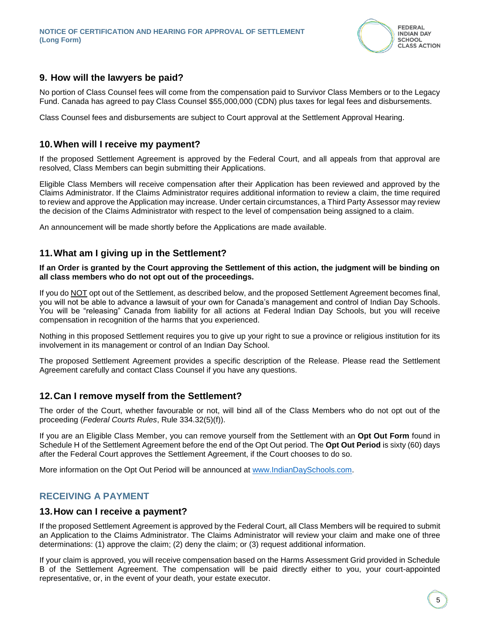

# **9. How will the lawyers be paid?**

No portion of Class Counsel fees will come from the compensation paid to Survivor Class Members or to the Legacy Fund. Canada has agreed to pay Class Counsel \$55,000,000 (CDN) plus taxes for legal fees and disbursements.

Class Counsel fees and disbursements are subject to Court approval at the Settlement Approval Hearing.

## **10.When will I receive my payment?**

If the proposed Settlement Agreement is approved by the Federal Court, and all appeals from that approval are resolved, Class Members can begin submitting their Applications.

Eligible Class Members will receive compensation after their Application has been reviewed and approved by the Claims Administrator. If the Claims Administrator requires additional information to review a claim, the time required to review and approve the Application may increase. Under certain circumstances, a Third Party Assessor may review the decision of the Claims Administrator with respect to the level of compensation being assigned to a claim.

An announcement will be made shortly before the Applications are made available.

## **11.What am I giving up in the Settlement?**

**If an Order is granted by the Court approving the Settlement of this action, the judgment will be binding on all class members who do not opt out of the proceedings.** 

If you do NOT opt out of the Settlement, as described below, and the proposed Settlement Agreement becomes final, you will not be able to advance a lawsuit of your own for Canada's management and control of Indian Day Schools. You will be "releasing" Canada from liability for all actions at Federal Indian Day Schools, but you will receive compensation in recognition of the harms that you experienced.

Nothing in this proposed Settlement requires you to give up your right to sue a province or religious institution for its involvement in its management or control of an Indian Day School.

The proposed Settlement Agreement provides a specific description of the Release. Please read the Settlement Agreement carefully and contact Class Counsel if you have any questions.

### **12.Can I remove myself from the Settlement?**

The order of the Court, whether favourable or not, will bind all of the Class Members who do not opt out of the proceeding (*Federal Courts Rules*, Rule 334.32(5)(f)).

If you are an Eligible Class Member, you can remove yourself from the Settlement with an **Opt Out Form** found in Schedule H of the Settlement Agreement before the end of the Opt Out period. The **Opt Out Period** is sixty (60) days after the Federal Court approves the Settlement Agreement, if the Court chooses to do so.

More information on the Opt Out Period will be announced at [www.IndianDaySchools.com.](http://www.indiandayschools.com/)

# **RECEIVING A PAYMENT**

#### **13.How can I receive a payment?**

If the proposed Settlement Agreement is approved by the Federal Court, all Class Members will be required to submit an Application to the Claims Administrator. The Claims Administrator will review your claim and make one of three determinations: (1) approve the claim; (2) deny the claim; or (3) request additional information.

If your claim is approved, you will receive compensation based on the Harms Assessment Grid provided in Schedule B of the Settlement Agreement. The compensation will be paid directly either to you, your court-appointed representative, or, in the event of your death, your estate executor.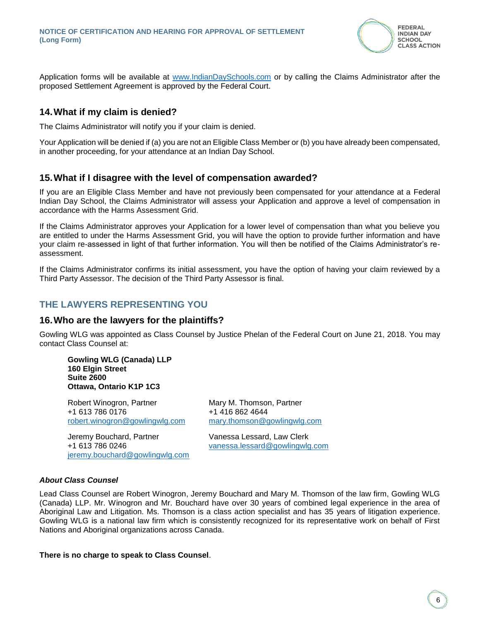

Application forms will be available at [www.IndianDaySchools.com](http://www.indiandayschools.com/) or by calling the Claims Administrator after the proposed Settlement Agreement is approved by the Federal Court.

## **14.What if my claim is denied?**

The Claims Administrator will notify you if your claim is denied.

Your Application will be denied if (a) you are not an Eligible Class Member or (b) you have already been compensated, in another proceeding, for your attendance at an Indian Day School.

## **15.What if I disagree with the level of compensation awarded?**

If you are an Eligible Class Member and have not previously been compensated for your attendance at a Federal Indian Day School, the Claims Administrator will assess your Application and approve a level of compensation in accordance with the Harms Assessment Grid.

If the Claims Administrator approves your Application for a lower level of compensation than what you believe you are entitled to under the Harms Assessment Grid, you will have the option to provide further information and have your claim re-assessed in light of that further information. You will then be notified of the Claims Administrator's reassessment.

If the Claims Administrator confirms its initial assessment, you have the option of having your claim reviewed by a Third Party Assessor. The decision of the Third Party Assessor is final.

# **THE LAWYERS REPRESENTING YOU**

### **16.Who are the lawyers for the plaintiffs?**

Gowling WLG was appointed as Class Counsel by Justice Phelan of the Federal Court on June 21, 2018. You may contact Class Counsel at:

**Gowling WLG (Canada) LLP 160 Elgin Street Suite 2600 Ottawa, Ontario K1P 1C3**

Robert Winogron, Partner Mary M. Thomson, Partner +1 613 786 0176 +1 416 862 4644 [robert.winogron@gowlingwlg.com](mailto:robert.winogron@gowlingwlg.com) [mary.thomson@gowlingwlg.com](mailto:mary.thomson@gowlingwlg.com)

Jeremy Bouchard, Partner Vanessa Lessard, Law Clerk +1 613 786 0246 [vanessa.lessard@gowlingwlg.com](mailto:vanessa.lessard@gowlingwlg.com) [jeremy.bouchard@gowlingwlg.com](mailto:jeremy.bouchard@gowlingwlg.com)

#### *About Class Counsel*

Lead Class Counsel are Robert Winogron, Jeremy Bouchard and Mary M. Thomson of the law firm, Gowling WLG (Canada) LLP. Mr. Winogron and Mr. Bouchard have over 30 years of combined legal experience in the area of Aboriginal Law and Litigation. Ms. Thomson is a class action specialist and has 35 years of litigation experience. Gowling WLG is a national law firm which is consistently recognized for its representative work on behalf of First Nations and Aboriginal organizations across Canada.

#### **There is no charge to speak to Class Counsel**.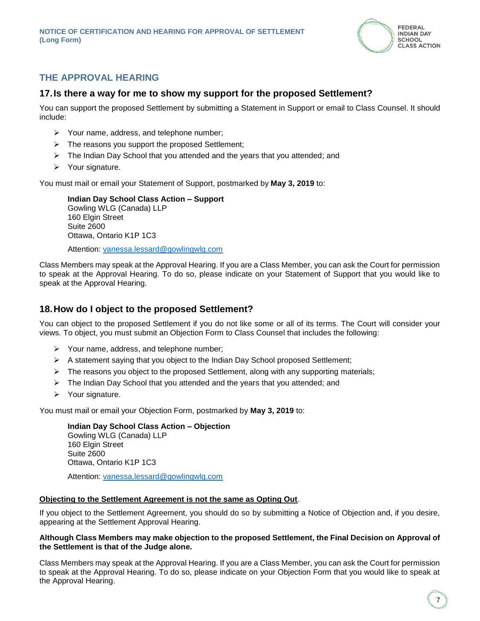

# **THE APPROVAL HEARING**

## **17.Is there a way for me to show my support for the proposed Settlement?**

You can support the proposed Settlement by submitting a Statement in Support or email to Class Counsel. It should include:

- ➢ Your name, address, and telephone number;
- ➢ The reasons you support the proposed Settlement;
- ➢ The Indian Day School that you attended and the years that you attended; and
- ➢ Your signature.

You must mail or email your Statement of Support, postmarked by **May 3, 2019** to:

**Indian Day School Class Action – Support** Gowling WLG (Canada) LLP 160 Elgin Street Suite 2600 Ottawa, Ontario K1P 1C3

Attention: [vanessa.lessard@gowlingwlg.com](mailto:vanessa.lessard@gowlingwlg.com)

Class Members may speak at the Approval Hearing. If you are a Class Member, you can ask the Court for permission to speak at the Approval Hearing. To do so, please indicate on your Statement of Support that you would like to speak at the Approval Hearing.

### **18.How do I object to the proposed Settlement?**

You can object to the proposed Settlement if you do not like some or all of its terms. The Court will consider your views. To object, you must submit an Objection Form to Class Counsel that includes the following:

- ➢ Your name, address, and telephone number;
- $\triangleright$  A statement saying that you object to the Indian Day School proposed Settlement;
- $\triangleright$  The reasons you object to the proposed Settlement, along with any supporting materials;
- ➢ The Indian Day School that you attended and the years that you attended; and
- ➢ Your signature.

You must mail or email your Objection Form, postmarked by **May 3, 2019** to:

**Indian Day School Class Action – Objection** Gowling WLG (Canada) LLP 160 Elgin Street Suite 2600 Ottawa, Ontario K1P 1C3 Attention: [vanessa.lessard@gowlingwlg.com](mailto:vanessa.lessard@gowlingwlg.com)

# **Objecting to the Settlement Agreement is not the same as Opting Out**.

If you object to the Settlement Agreement, you should do so by submitting a Notice of Objection and, if you desire, appearing at the Settlement Approval Hearing.

#### **Although Class Members may make objection to the proposed Settlement, the Final Decision on Approval of the Settlement is that of the Judge alone.**

Class Members may speak at the Approval Hearing. If you are a Class Member, you can ask the Court for permission to speak at the Approval Hearing. To do so, please indicate on your Objection Form that you would like to speak at the Approval Hearing.